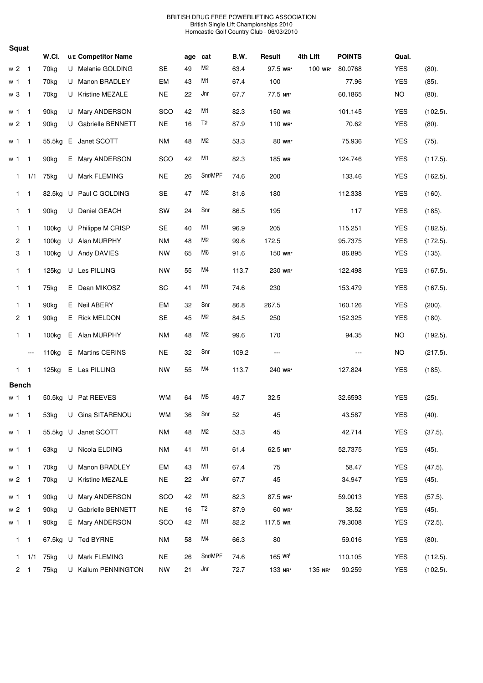| Squat |                |                          |                   |                     |           |     |                |       |                       |          |               |            |             |
|-------|----------------|--------------------------|-------------------|---------------------|-----------|-----|----------------|-------|-----------------------|----------|---------------|------------|-------------|
|       |                |                          | W.CI.             | U/E Competitor Name |           | age | cat            | B.W.  | Result                | 4th Lift | <b>POINTS</b> | Qual.      |             |
|       | w <sub>2</sub> | $\overline{1}$           | 70 <sub>kg</sub>  | U Melanie GOLDING   | <b>SE</b> | 49  | M <sub>2</sub> | 63.4  | 97.5 WR*              | 100 wr*  | 80.0768       | <b>YES</b> | (80).       |
|       | w 1            | $\overline{1}$           | 70 <sub>kg</sub>  | U Manon BRADLEY     | EM        | 43  | M <sub>1</sub> | 67.4  | 100                   |          | 77.96         | <b>YES</b> | $(85)$ .    |
|       | w 3            | $\overline{1}$           | 70kg              | U Kristine MEZALE   | <b>NE</b> | 22  | Jnr            | 67.7  | 77.5 NR*              |          | 60.1865       | <b>NO</b>  | (80).       |
|       | w 1            | $\overline{1}$           | 90 <sub>kg</sub>  | U Mary ANDERSON     | SCO       | 42  | M <sub>1</sub> | 82.3  | 150 wR                |          | 101.145       | <b>YES</b> | (102.5).    |
|       | w <sub>2</sub> | $\overline{1}$           | 90kg              | U Gabrielle BENNETT | <b>NE</b> | 16  | T <sub>2</sub> | 87.9  | 110 WR*               |          | 70.62         | <b>YES</b> | (80).       |
|       | w 1            | $\overline{1}$           | 55.5kg            | E Janet SCOTT       | <b>NM</b> | 48  | M <sub>2</sub> | 53.3  | 80 wr*                |          | 75.936        | <b>YES</b> | $(75)$ .    |
|       | w 1            | $\overline{1}$           | 90 <sub>kg</sub>  | E Mary ANDERSON     | SCO       | 42  | M1             | 82.3  | 185 WR                |          | 124.746       | <b>YES</b> | (117.5).    |
|       | $\mathbf{1}$   | 1/1                      | 75kg              | U Mark FLEMING      | <b>NE</b> | 26  | Snr/MPF        | 74.6  | 200                   |          | 133.46        | <b>YES</b> | (162.5).    |
|       | 1              | $\overline{1}$           | 82.5kg            | U Paul C GOLDING    | SE        | 47  | M <sub>2</sub> | 81.6  | 180                   |          | 112.338       | <b>YES</b> | (160).      |
|       | $1 \quad 1$    |                          | 90kg              | U Daniel GEACH      | SW        | 24  | Snr            | 86.5  | 195                   |          | 117           | <b>YES</b> | (185).      |
|       | $\mathbf{1}$   | $\overline{1}$           | 100 <sub>kg</sub> | U Philippe M CRISP  | <b>SE</b> | 40  | M1             | 96.9  | 205                   |          | 115.251       | <b>YES</b> | (182.5).    |
|       | $\mathbf{2}$   | $\overline{1}$           | 100 <sub>kg</sub> | U Alan MURPHY       | ΝM        | 48  | M <sub>2</sub> | 99.6  | 172.5                 |          | 95.7375       | <b>YES</b> | (172.5).    |
|       | 3              | $\overline{1}$           | 100 <sub>kg</sub> | U Andy DAVIES       | <b>NW</b> | 65  | M6             | 91.6  | 150 wR*               |          | 86.895        | <b>YES</b> | (135).      |
|       | $1 \quad 1$    |                          | 125kg             | U Les PILLING       | <b>NW</b> | 55  | M4             | 113.7 | 230 WR*               |          | 122.498       | <b>YES</b> | $(167.5)$ . |
|       | $1 \quad 1$    |                          | 75kg              | E Dean MIKOSZ       | SC        | 41  | M1             | 74.6  | 230                   |          | 153.479       | <b>YES</b> | $(167.5)$ . |
|       | $1 \quad 1$    |                          | 90 <sub>kg</sub>  | E Neil ABERY        | EM        | 32  | Snr            | 86.8  | 267.5                 |          | 160.126       | <b>YES</b> | (200).      |
|       | $\mathbf{2}$   | $\overline{1}$           | 90 <sub>kg</sub>  | E Rick MELDON       | <b>SE</b> | 45  | M <sub>2</sub> | 84.5  | 250                   |          | 152.325       | <b>YES</b> | (180).      |
|       | $\mathbf{1}$   | $\overline{1}$           | 100kg             | E Alan MURPHY       | <b>NM</b> | 48  | M <sub>2</sub> | 99.6  | 170                   |          | 94.35         | <b>NO</b>  | (192.5).    |
|       |                | $---$                    | 110 <sub>kg</sub> | E Martins CERINS    | <b>NE</b> | 32  | Snr            | 109.2 | $\sim$ $\sim$         |          | $---$         | <b>NO</b>  | (217.5).    |
|       | $\mathbf{1}$   | $\overline{1}$           | 125kg             | E Les PILLING       | <b>NW</b> | 55  | M4             | 113.7 | 240 wr*               |          | 127.824       | <b>YES</b> | (185).      |
|       | <b>Bench</b>   |                          |                   |                     |           |     |                |       |                       |          |               |            |             |
|       | w 1            | $\overline{1}$           |                   | 50.5kg U Pat REEVES | <b>WM</b> | 64  | M <sub>5</sub> | 49.7  | 32.5                  |          | 32.6593       | <b>YES</b> | (25).       |
|       | w <sub>1</sub> | $\overline{1}$           | 53kg              | U Gina SITARENOU    | WM        | 36  | Snr            | 52    | 45                    |          | 43.587        | <b>YES</b> | (40).       |
|       | w 1            | $\overline{1}$           | 55.5kg            | U Janet SCOTT       | <b>NM</b> | 48  | M <sub>2</sub> | 53.3  | 45                    |          | 42.714        | <b>YES</b> | $(37.5)$ .  |
|       | w <sub>1</sub> | $\overline{1}$           | 63kg              | U Nicola ELDING     | <b>NM</b> | 41  | M1             | 61.4  | 62.5 NR*              |          | 52.7375       | <b>YES</b> | $(45)$ .    |
|       | w <sub>1</sub> | $\overline{1}$           | 70 <sub>kg</sub>  | U Manon BRADLEY     | EM        | 43  | M1             | 67.4  | 75                    |          | 58.47         | <b>YES</b> | $(47.5)$ .  |
|       | $w2$ 1         |                          | 70 <sub>kg</sub>  | U Kristine MEZALE   | <b>NE</b> | 22  | Jnr            | 67.7  | 45                    |          | 34.947        | <b>YES</b> | $(45)$ .    |
|       | w 1            | $\overline{1}$           | 90 <sub>kg</sub>  | U Mary ANDERSON     | SCO       | 42  | M1             | 82.3  | 87.5 wR*              |          | 59.0013       | <b>YES</b> | $(57.5)$ .  |
|       | w 2            | $\overline{\phantom{1}}$ | 90 <sub>kg</sub>  | U Gabrielle BENNETT | <b>NE</b> | 16  | T <sub>2</sub> | 87.9  | 60 wr*                |          | 38.52         | <b>YES</b> | (45).       |
|       | w 1            | $\overline{1}$           | 90kg              | E Mary ANDERSON     | SCO       | 42  | M1             | 82.2  | 117.5 WR              |          | 79.3008       | <b>YES</b> | $(72.5)$ .  |
|       | $\mathbf{1}$   | $\overline{1}$           |                   | 67.5kg U Ted BYRNE  | <b>NM</b> | 58  | M4             | 66.3  | 80                    |          | 59.016        | <b>YES</b> | $(80)$ .    |
|       | 1              | 1/1                      | 75kg              | U Mark FLEMING      | <b>NE</b> | 26  | Snr/MPF        | 74.6  | $165$ WR <sup>t</sup> |          | 110.105       | <b>YES</b> | (112.5).    |
|       | 2 <sub>1</sub> |                          | 75kg              | U Kallum PENNINGTON | <b>NW</b> | 21  | Jnr            | 72.7  | 133 NR*               | 135 NR*  | 90.259        | <b>YES</b> | (102.5).    |
|       |                |                          |                   |                     |           |     |                |       |                       |          |               |            |             |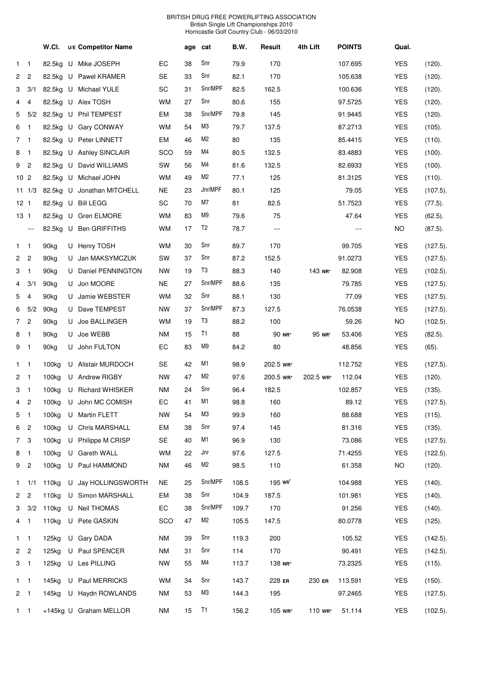|                 |                 | W.CI.             |   | U/E Competitor Name    |            | age | cat            | B.W.  | Result                | 4th Lift  | <b>POINTS</b>     | Qual.      |             |
|-----------------|-----------------|-------------------|---|------------------------|------------|-----|----------------|-------|-----------------------|-----------|-------------------|------------|-------------|
| 1               | $\mathbf 1$     | 82.5kg            |   | U Mike JOSEPH          | EC         | 38  | Snr            | 79.9  | 170                   |           | 107.695           | <b>YES</b> | (120).      |
| $\overline{2}$  | $\overline{c}$  | 82.5kg            |   | U Pawel KRAMER         | SE         | 33  | Snr            | 82.1  | 170                   |           | 105.638           | <b>YES</b> | (120).      |
| 3               | 3/1             | 82.5kg            |   | U Michael YULE         | SC         | 31  | Snr/MPF        | 82.5  | 162.5                 |           | 100.636           | <b>YES</b> | (120).      |
| 4               | 4               |                   |   | 82.5kg U Alex TOSH     | <b>WM</b>  | 27  | Snr            | 80.6  | 155                   |           | 97.5725           | <b>YES</b> | (120).      |
| 5               | 5/2             | 82.5kg            |   | U Phil TEMPEST         | EM         | 38  | Snr/MPF        | 79.8  | 145                   |           | 91.9445           | <b>YES</b> | (120).      |
| 6               | - 1             | 82.5kg            |   | U Gary CONWAY          | <b>WM</b>  | 54  | MЗ             | 79.7  | 137.5                 |           | 87.2713           | <b>YES</b> | (105).      |
| 7 1             |                 | 82.5kg            |   | U Peter LINNETT        | EM         | 46  | M2             | 80    | 135                   |           | 85.4415           | <b>YES</b> | (110).      |
| 8               | - 1             | 82.5kg            |   | U Ashley SINCLAIR      | <b>SCO</b> | 59  | M4             | 80.5  | 132.5                 |           | 83.4883           | <b>YES</b> | (100).      |
| 9               | $\overline{c}$  | 82.5kg            |   | U David WILLIAMS       | SW         | 56  | M4             | 81.6  | 132.5                 |           | 82.6933           | <b>YES</b> | (100).      |
| 10 <sub>2</sub> |                 | 82.5kg            |   | U Michael JOHN         | <b>WM</b>  | 49  | M2             | 77.1  | 125                   |           | 81.3125           | <b>YES</b> | (110).      |
|                 | $11 \t1/3$      | 82.5kg            |   | U Jonathan MITCHELL    | NE.        | 23  | Jnr/MPF        | 80.1  | 125                   |           | 79.05             | <b>YES</b> | $(107.5)$ . |
| 12 <sub>1</sub> |                 | 82.5kg            |   | U Bill LEGG            | SC         | 70  | M7             | 81    | 82.5                  |           | 51.7523           | <b>YES</b> | $(77.5)$ .  |
| 13 1            |                 | 82.5kg            |   | U Gren ELMORE          | <b>WM</b>  | 83  | M9             | 79.6  | 75                    |           | 47.64             | <b>YES</b> | $(62.5)$ .  |
|                 | $---$           | 82.5kg            |   | U Ben GRIFFITHS        | <b>WM</b>  | 17  | T <sub>2</sub> | 78.7  | $---$                 |           | $\qquad \qquad -$ | <b>NO</b>  | $(87.5)$ .  |
| $1 \quad 1$     |                 | 90kg              |   | U Henry TOSH           | <b>WM</b>  | 30  | Snr            | 89.7  | 170                   |           | 99.705            | <b>YES</b> | $(127.5)$ . |
| 2 <sub>2</sub>  |                 | 90 <sub>kg</sub>  | U | Jan MAKSYMCZUK         | SW         | 37  | Snr            | 87.2  | 152.5                 |           | 91.0273           | <b>YES</b> | $(127.5)$ . |
| 3               | $\mathbf{1}$    | 90 <sub>kg</sub>  | U | Daniel PENNINGTON      | <b>NW</b>  | 19  | T3             | 88.3  | 140                   | 143 NR*   | 82.908            | <b>YES</b> | (102.5).    |
| 4               | 3/1             | 90kg              |   | U Jon MOORE            | <b>NE</b>  | 27  | Snr/MPF        | 88.6  | 135                   |           | 79.785            | <b>YES</b> | $(127.5)$ . |
| 5               | 4               | 90 <sub>kg</sub>  | U | Jamie WEBSTER          | <b>WM</b>  | 32  | Snr            | 88.1  | 130                   |           | 77.09             | <b>YES</b> | $(127.5)$ . |
| 6               | 5/2             | 90kg              |   | U Dave TEMPEST         | <b>NW</b>  | 37  | Snr/MPF        | 87.3  | 127.5                 |           | 76.0538           | <b>YES</b> | $(127.5)$ . |
| $7^{\circ}$     | $\overline{c}$  | 90 <sub>kg</sub>  | U | Joe BALLINGER          | <b>WM</b>  | 19  | T3             | 88.2  | 100                   |           | 59.26             | NO         | (102.5).    |
| 8               | $\mathbf{1}$    | 90kg              |   | U Joe WEBB             | ΝM         | 15  | T1             | 88    | 90 NR*                | 95 NR*    | 53.406            | <b>YES</b> | $(82.5)$ .  |
| 9 1             |                 | 90 <sub>kg</sub>  |   | U John FULTON          | EC         | 83  | M9             | 84.2  | 80                    |           | 48.856            | <b>YES</b> | $(65)$ .    |
| $1 \quad 1$     |                 | 100 <sub>kg</sub> |   | U Alistair MURDOCH     | SE         | 42  | M1             | 98.9  | 202.5 WR*             |           | 112.752           | <b>YES</b> | $(127.5)$ . |
| $\mathbf{2}$    | - 1             | 100kg             |   | U Andrew RIGBY         | <b>NW</b>  | 47  | M2             | 97.6  | 200.5 WR*             | 202.5 WR* | 112.04            | <b>YES</b> | (120).      |
| 3 <sub>1</sub>  |                 | 100 <sub>kg</sub> |   | U Richard WHISKER      | <b>NM</b>  | 24  | Snr            | 96.4  | 182.5                 |           | 102.857           | <b>YES</b> | (135).      |
| 4 2             |                 |                   |   | 100kg U John MC COMISH | EC         | 41  | M1             | 98.8  | 160                   |           | 89.12             | <b>YES</b> | (127.5).    |
| 5               | $\overline{1}$  | 100 <sub>kg</sub> |   | U Martin FLETT         | <b>NW</b>  | 54  | MЗ             | 99.9  | 160                   |           | 88.688            | <b>YES</b> | (115).      |
| 6 2             |                 | 100kg             |   | U Chris MARSHALL       | EM         | 38  | Snr            | 97.4  | 145                   |           | 81.316            | <b>YES</b> | (135).      |
| 7 <sup>3</sup>  |                 | 100 <sub>kg</sub> |   | U Philippe M CRISP     | SE         | 40  | M1             | 96.9  | 130                   |           | 73.086            | <b>YES</b> | (127.5).    |
| 8 1             |                 | 100 <sub>kg</sub> |   | U Gareth WALL          | <b>WM</b>  | 22  | Jnr            | 97.6  | 127.5                 |           | 71.4255           | <b>YES</b> | (122.5).    |
| 9 <sub>2</sub>  |                 | 100 <sub>kg</sub> |   | U Paul HAMMOND         | <b>NM</b>  | 46  | M2             | 98.5  | 110                   |           | 61.358            | NO         | (120).      |
| 1               | 1/1             | 110 <sub>kg</sub> |   | U Jay HOLLINGSWORTH    | <b>NE</b>  | 25  | Snr/MPF        | 108.5 | $195$ WR <sup>t</sup> |           | 104.988           | <b>YES</b> | (140).      |
| 2 <sub>2</sub>  |                 | 110 <sub>kg</sub> |   | U Simon MARSHALL       | EM         | 38  | Snr            | 104.9 | 187.5                 |           | 101.981           | <b>YES</b> | (140).      |
|                 | $3 \frac{3}{2}$ | 110 <sub>kg</sub> |   | U Neil THOMAS          | EC         | 38  | Snr/MPF        | 109.7 | 170                   |           | 91.256            | <b>YES</b> | (140).      |
| 4 1             |                 | 110 <sub>kg</sub> |   | U Pete GASKIN          | SCO        | 47  | M2             | 105.5 | 147.5                 |           | 80.0778           | <b>YES</b> | (125).      |
| $1 \quad 1$     |                 | 125kg             |   | U Gary DADA            | <b>NM</b>  | 39  | Snr            | 119.3 | 200                   |           | 105.52            | <b>YES</b> | (142.5).    |
| 2 <sub>2</sub>  |                 | 125kg             |   | U Paul SPENCER         | <b>NM</b>  | 31  | Snr            | 114   | 170                   |           | 90.491            | <b>YES</b> | (142.5).    |
| $3 \quad 1$     |                 | 125kg             |   | U Les PILLING          | <b>NW</b>  | 55  | M4             | 113.7 | 138 NR*               |           | 73.2325           | <b>YES</b> | (115).      |
| $1 \quad 1$     |                 | 145kg             |   | U Paul MERRICKS        | <b>WM</b>  | 34  | Snr            | 143.7 | 228 ER                | 230 ER    | 113.591           | <b>YES</b> | (150).      |
| $2 \quad 1$     |                 | 145kg             |   | U Haydn ROWLANDS       | <b>NM</b>  | 53  | ΜЗ             | 144.3 | 195                   |           | 97.2465           | <b>YES</b> | (127.5).    |
| $1 \quad 1$     |                 |                   |   | +145kg U Graham MELLOR | <b>NM</b>  | 15  | T1             | 156.2 | 105 WR*               | 110 WR*   | 51.114            | <b>YES</b> | (102.5).    |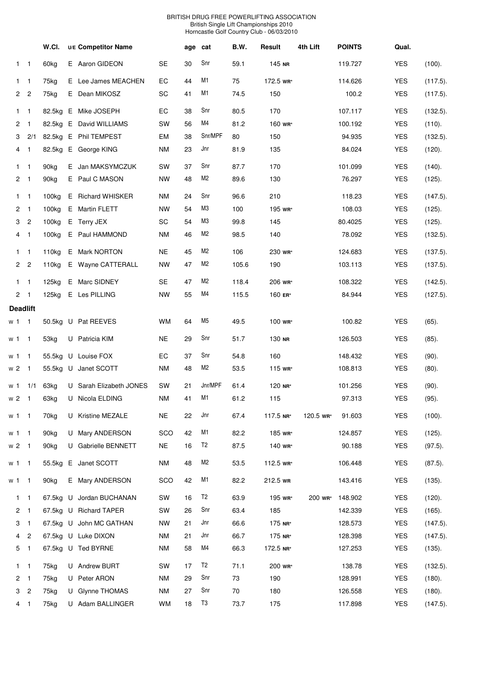|              |                                | W.CI.             |   | U/E Competitor Name      |           | age | cat            | B.W.  | Result    | 4th Lift  | <b>POINTS</b> | Qual.      |             |
|--------------|--------------------------------|-------------------|---|--------------------------|-----------|-----|----------------|-------|-----------|-----------|---------------|------------|-------------|
|              | $\overline{1}$<br>$\mathbf{1}$ | 60kg              |   | E Aaron GIDEON           | <b>SE</b> | 30  | Snr            | 59.1  | 145 NR    |           | 119.727       | <b>YES</b> | (100).      |
| 1            | $\mathbf{1}$                   | 75kg              |   | E Lee James MEACHEN      | EС        | 44  | M1             | 75    | 172.5 WR* |           | 114.626       | <b>YES</b> | $(117.5)$ . |
| 2            | $\overline{c}$                 | 75kg              |   | E Dean MIKOSZ            | SC        | 41  | M1             | 74.5  | 150       |           | 100.2         | <b>YES</b> | (117.5).    |
| $\mathbf{1}$ | $\mathbf{1}$                   | 82.5kg            |   | E Mike JOSEPH            | EC        | 38  | Snr            | 80.5  | 170       |           | 107.117       | <b>YES</b> | (132.5).    |
| 2            | 1                              | 82.5kg            |   | E David WILLIAMS         | SW        | 56  | M4             | 81.2  | 160 wR*   |           | 100.192       | <b>YES</b> | (110).      |
| 3            | 2/1                            | 82.5kg            | E | <b>Phil TEMPEST</b>      | EM        | 38  | Snr/MPF        | 80    | 150       |           | 94.935        | <b>YES</b> | (132.5).    |
| 4            | $\mathbf{1}$                   | 82.5kg            |   | E George KING            | ΝM        | 23  | Jnr            | 81.9  | 135       |           | 84.024        | <b>YES</b> | (120).      |
| $\mathbf{1}$ | $\mathbf{1}$                   | 90 <sub>kg</sub>  |   | E Jan MAKSYMCZUK         | SW        | 37  | Snr            | 87.7  | 170       |           | 101.099       | <b>YES</b> | (140).      |
| 2            | $\mathbf{1}$                   | 90kg              |   | E Paul C MASON           | NW        | 48  | M2             | 89.6  | 130       |           | 76.297        | <b>YES</b> | (125).      |
| 1            | $\mathbf{1}$                   | 100 <sub>kg</sub> |   | E Richard WHISKER        | ΝM        | 24  | Snr            | 96.6  | 210       |           | 118.23        | <b>YES</b> | $(147.5)$ . |
| 2            | $\mathbf{1}$                   | 100 <sub>kg</sub> |   | E Martin FLETT           | NW        | 54  | M3             | 100   | 195 WR*   |           | 108.03        | <b>YES</b> | (125).      |
| 3            | $\overline{c}$                 | 100 <sub>kg</sub> |   | E Terry JEX              | SC        | 54  | M3             | 99.8  | 145       |           | 80.4025       | <b>YES</b> | (125).      |
|              | 4<br>$\mathbf{1}$              | 100 <sub>kg</sub> |   | E Paul HAMMOND           | <b>NM</b> | 46  | M2             | 98.5  | 140       |           | 78.092        | <b>YES</b> | (132.5).    |
| $\mathbf{1}$ | $\mathbf{1}$                   | 110 <sub>kg</sub> |   | E Mark NORTON            | ΝE        | 45  | M2             | 106   | 230 WR*   |           | 124.683       | <b>YES</b> | $(137.5)$ . |
|              | $2^{\circ}$<br>$\overline{c}$  | 110 <sub>kg</sub> |   | E Wayne CATTERALL        | NW        | 47  | M2             | 105.6 | 190       |           | 103.113       | <b>YES</b> | $(137.5)$ . |
| $\mathbf{1}$ | $\mathbf{1}$                   | 125kg             |   | E Marc SIDNEY            | <b>SE</b> | 47  | M2             | 118.4 | 206 WR*   |           | 108.322       | <b>YES</b> | (142.5).    |
| $\mathbf{2}$ | $\mathbf{1}$                   | 125kg             |   | E Les PILLING            | NW        | 55  | M4             | 115.5 | 160 ER*   |           | 84.944        | <b>YES</b> | $(127.5)$ . |
|              | <b>Deadlift</b>                |                   |   |                          |           |     |                |       |           |           |               |            |             |
| w 1          | $\mathbf{1}$                   | 50.5kg            |   | U Pat REEVES             | wм        | 64  | M5             | 49.5  | 100 WR*   |           | 100.82        | <b>YES</b> | $(65)$ .    |
| w 1          | $\mathbf{1}$                   | 53kg              |   | U Patricia KIM           | <b>NE</b> | 29  | Snr            | 51.7  | 130 NR    |           | 126.503       | <b>YES</b> | $(85)$ .    |
| w 1          | $\mathbf{1}$                   | 55.5kg            |   | U Louise FOX             | EС        | 37  | Snr            | 54.8  | 160       |           | 148.432       | <b>YES</b> | (90).       |
| w 2          | $\mathbf{1}$                   | 55.5kg            | U | Janet SCOTT              | ΝM        | 48  | M2             | 53.5  | 115 WR*   |           | 108.813       | <b>YES</b> | $(80)$ .    |
| w 1          | 1/1                            | 63kg              |   | U Sarah Elizabeth JONES  | SW        | 21  | Jnr/MPF        | 61.4  | 120 NR*   |           | 101.256       | <b>YES</b> | (90).       |
| w 2          | -1                             | 63kg              |   | U Nicola ELDING          | ΝM        | 41  | M1             | 61.2  | 115       |           | 97.313        | <b>YES</b> | (95).       |
|              | w 1 1                          | 70kg              |   | U Kristine MEZALE        | <b>NE</b> | 22  | Jnr            | 67.4  | 117.5 NR* | 120.5 WR* | 91.603        | <b>YES</b> | (100).      |
| w 1          | $\mathbf{1}$                   | 90kg              |   | U Mary ANDERSON          | SCO       | 42  | M1             | 82.2  | 185 wr*   |           | 124.857       | <b>YES</b> | (125).      |
| w 2          | $\mathbf{1}$                   | 90kg              |   | U Gabrielle BENNETT      | <b>NE</b> | 16  | T <sub>2</sub> | 87.5  | 140 WR*   |           | 90.188        | <b>YES</b> | $(97.5)$ .  |
| w 1          | $\overline{1}$                 | 55.5kg            |   | E Janet SCOTT            | <b>NM</b> | 48  | M2             | 53.5  | 112.5 WR* |           | 106.448       | <b>YES</b> | $(87.5)$ .  |
|              | w 1 1                          | 90kg              |   | E Mary ANDERSON          | SCO       | 42  | M1             | 82.2  | 212.5 WR  |           | 143.416       | <b>YES</b> | (135).      |
|              | $\overline{1}$<br>1            |                   |   | 67.5kg U Jordan BUCHANAN | SW        | 16  | T <sub>2</sub> | 63.9  | 195 wr*   | 200 wr*   | 148.902       | <b>YES</b> | (120).      |
| 2            | $\mathbf{1}$                   |                   |   | 67.5kg U Richard TAPER   | SW        | 26  | Snr            | 63.4  | 185       |           | 142.339       | <b>YES</b> | $(165)$ .   |
| 3            | $\mathbf{1}$                   |                   |   | 67.5kg U John MC GATHAN  | NW        | 21  | Jnr            | 66.6  | 175 NR*   |           | 128.573       | <b>YES</b> | $(147.5)$ . |
| 4            | 2                              |                   |   | 67.5kg U Luke DIXON      | <b>NM</b> | 21  | Jnr            | 66.7  | 175 NR*   |           | 128.398       | <b>YES</b> | $(147.5)$ . |
| 5            | $\mathbf{1}$                   |                   |   | 67.5kg U Ted BYRNE       | <b>NM</b> | 58  | M4             | 66.3  | 172.5 NR* |           | 127.253       | <b>YES</b> | (135).      |
|              | $\overline{1}$<br>1            | 75kg              |   | U Andrew BURT            | SW        | 17  | T <sub>2</sub> | 71.1  | 200 WR*   |           | 138.78        | <b>YES</b> | (132.5).    |
| 2            | $\mathbf{1}$                   | 75kg              |   | U Peter ARON             | <b>NM</b> | 29  | Snr            | 73    | 190       |           | 128.991       | <b>YES</b> | (180).      |
| 3            | $\overline{c}$                 | 75kg              |   | U Glynne THOMAS          | ΝM        | 27  | Snr            | 70    | 180       |           | 126.558       | <b>YES</b> | (180).      |
|              | $4 \quad 1$                    | 75kg              |   | U Adam BALLINGER         | <b>WM</b> | 18  | T3             | 73.7  | 175       |           | 117.898       | <b>YES</b> | (147.5).    |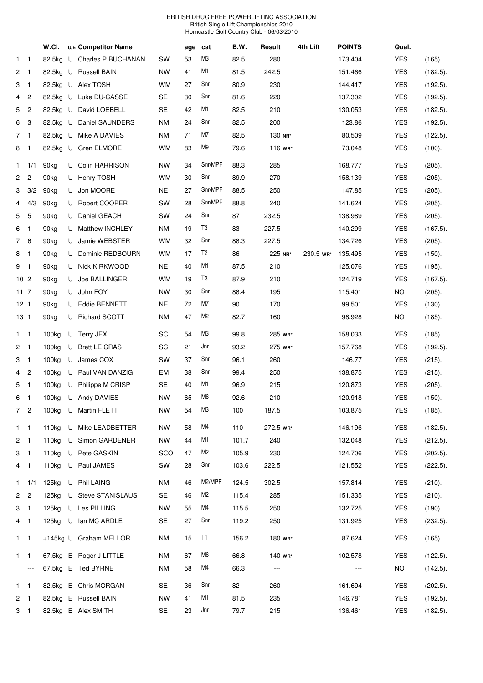| M3<br><b>YES</b><br>82.5kg<br>U Charles P BUCHANAN<br>SW<br>53<br>82.5<br>280<br>173.404<br>(165).<br>$\mathbf{1}$<br>$\overline{\phantom{1}}$<br>M1<br><b>YES</b><br>$\overline{c}$<br>U Russell BAIN<br>NW<br>41<br>81.5<br>242.5<br>(182.5).<br>$\overline{1}$<br>82.5kg<br>151.466<br>Snr<br><b>YES</b><br>82.5kg<br>U Alex TOSH<br>WM<br>27<br>80.9<br>230<br>3<br>$\overline{1}$<br>144.417<br>(192.5).<br>Snr<br>220<br><b>YES</b><br>$\overline{c}$<br>Luke DU-CASSE<br>SE<br>30<br>81.6<br>137.302<br>(192.5).<br>4<br>82.5kg<br>U<br>M1<br>5<br>$\overline{c}$<br>U David LOEBELL<br><b>SE</b><br>42<br>82.5<br>210<br><b>YES</b><br>82.5kg<br>130.053<br>(182.5).<br>Snr<br>3<br>U Daniel SAUNDERS<br>ΝM<br>24<br>82.5<br>200<br>123.86<br><b>YES</b><br>6<br>82.5kg<br>(192.5).<br>M7<br>82.5<br><b>YES</b><br>82.5kg<br>Mike A DAVIES<br>ΝM<br>71<br>130 NR*<br>80.509<br>(122.5).<br>7 1<br>U<br>M9<br>U Gren ELMORE<br>WM<br>83<br>79.6<br><b>YES</b><br>81<br>82.5kg<br>116 WR*<br>73.048<br>(100).<br>Snr/MPF<br><b>YES</b><br>90 <sub>kg</sub><br><b>Colin HARRISON</b><br><b>NW</b><br>34<br>88.3<br>285<br>168.777<br>(205).<br>1/1<br>$\mathbf{1}$<br>U<br>Snr<br>$\overline{c}$<br>89.9<br>270<br><b>YES</b><br>$\overline{2}$<br>90 <sub>kg</sub><br>U Henry TOSH<br>WM<br>30<br>158.139<br>(205).<br>Snr/MPF<br>3/2<br>Jon MOORE<br>NE<br>27<br>88.5<br>250<br>147.85<br><b>YES</b><br>3<br>90 <sub>kg</sub><br>(205).<br>U<br>Snr/MPF<br>SW<br><b>YES</b><br>4/3<br>90 <sub>kg</sub><br>Robert COOPER<br>28<br>88.8<br>240<br>141.624<br>(205).<br>4<br>U<br>Snr<br>5<br>5<br>Daniel GEACH<br>SW<br>24<br>87<br>232.5<br><b>YES</b><br>(205).<br>90 <sub>kg</sub><br>U<br>138.989<br>T3<br>227.5<br><b>Matthew INCHLEY</b><br>ΝM<br>19<br>83<br><b>YES</b><br>6<br>90kg<br>140.299<br>$(167.5)$ .<br>$\overline{1}$<br>U<br>Snr<br><b>WM</b><br>32<br>88.3<br>227.5<br><b>YES</b><br>7 6<br>Jamie WEBSTER<br>134.726<br>(205).<br>90kg<br>U<br>T2<br>Dominic REDBOURN<br>WM<br>17<br>86<br>225 NR*<br><b>YES</b><br>8<br>$\overline{1}$<br>90 <sub>kg</sub><br>230.5 WR*<br>135.495<br>(150).<br>U<br>M1<br>Nick KIRKWOOD<br>NE<br>40<br>87.5<br>210<br>125.076<br><b>YES</b><br>(195).<br>9<br>$\overline{1}$<br>90kg<br>U<br>T3<br>87.9<br>10 <sub>2</sub><br>Joe BALLINGER<br>WM<br>19<br>210<br>124.719<br><b>YES</b><br>90 <sub>kg</sub><br>U<br>$(167.5)$ .<br>Snr<br>$11 \t 7$<br>John FOY<br>NW<br>30<br>88.4<br>195<br>115.401<br>NO.<br>90kg<br>(205).<br>U<br>M7<br>90<br>12 <sub>1</sub><br>U Eddie BENNETT<br>NE<br>72<br>170<br><b>YES</b><br>90kg<br>99.501<br>(130).<br>M2<br>U Richard SCOTT<br>ΝM<br>47<br>82.7<br>160<br>98.928<br><b>NO</b><br>13 1<br>90 <sub>kg</sub><br>(185).<br>MЗ<br>SC<br>54<br>99.8<br>285 wR*<br><b>YES</b><br>100kg<br>158.033<br>(185).<br>$1 \quad 1$<br>U Terry JEX<br>Jnr<br>SC<br>93.2<br><b>YES</b><br>2 <sub>1</sub><br>100 <sub>kg</sub><br><b>Brett LE CRAS</b><br>21<br>275 wr*<br>(192.5).<br>U<br>157.768<br>Snr<br>100kg<br>James COX<br>SW<br>37<br>96.1<br>260<br>146.77<br><b>YES</b><br>(215).<br>3<br>$\overline{1}$<br>U<br>Snr<br>100kg<br>U Paul VAN DANZIG<br>EM<br>38<br>99.4<br>250<br><b>YES</b><br>(215).<br>4 2<br>138.875<br>M1<br>5<br>U Philippe M CRISP<br>SE<br>96.9<br>215<br><b>YES</b><br>$\overline{1}$<br>100 <sub>kg</sub><br>40<br>120.873<br>(205).<br>M6<br><b>NW</b><br><b>YES</b><br>100kg<br>U Andy DAVIES<br>65<br>92.6<br>210<br>120.918<br>(150).<br>6<br>$\overline{1}$<br>M <sub>3</sub><br><b>NW</b><br>54<br><b>YES</b><br>7 <sup>2</sup><br>100kg<br>U Martin FLETT<br>100<br>187.5<br>103.875<br>(185).<br>M4<br>110<br><b>YES</b><br>110kg<br>U Mike LEADBETTER<br><b>NW</b><br>58<br>272.5 WR*<br>146.196<br>(182.5).<br>$1 \quad 1$<br>M1<br><b>YES</b><br>2 <sub>1</sub><br>110 <sub>kg</sub><br>U Simon GARDENER<br><b>NW</b><br>44<br>101.7<br>240<br>132.048<br>(212.5).<br>M2<br>U Pete GASKIN<br>SCO<br>230<br>YES<br>3 1<br>110kg<br>47<br>105.9<br>124.706<br>$(202.5)$ .<br>Snr<br>110kg<br>U Paul JAMES<br>SW<br>28<br>103.6<br>222.5<br>YES<br>121.552<br>(222.5).<br>4 1<br>M2/MPF<br>U Phil LAING<br>302.5<br><b>YES</b><br>(210).<br>125kg<br><b>NM</b><br>124.5<br>157.814<br>$1 \t1/1$<br>46<br>M2<br><b>YES</b><br>2 <sub>2</sub><br>125kg<br>U Steve STANISLAUS<br>SE<br>115.4<br>285<br>151.335<br>(210).<br>46<br>M4<br><b>YES</b><br>125kg<br>U Les PILLING<br>55<br>115.5<br>250<br>(190).<br>3 <sub>1</sub><br><b>NW</b><br>132.725<br>Snr<br>U lan MC ARDLE<br>SE<br>27<br>250<br><b>YES</b><br>125kg<br>119.2<br>131.925<br>(232.5).<br>4 1<br>T1<br>+145kg U Graham MELLOR<br>15<br>180 WR*<br>87.624<br><b>YES</b><br>(165).<br>$1 \quad 1$<br>ΝM<br>156.2<br>M6<br>67.5kg E Roger J LITTLE<br>66.8<br>140 wR*<br>102.578<br><b>YES</b><br>(122.5).<br>$1 \quad 1$<br>ΝM<br>67<br>M4<br>67.5kg E Ted BYRNE<br>NM<br>58<br>66.3<br>NO<br>(142.5).<br>$\hspace{0.05cm} \ldots$<br>---<br>$\cdots$<br>Snr<br>82<br><b>YES</b><br>(202.5).<br>$1 \quad 1$<br>82.5kg E Chris MORGAN<br><b>SE</b><br>260<br>161.694<br>36<br>M1<br><b>YES</b><br>82.5kg E Russell BAIN<br><b>NW</b><br>81.5<br>235<br>146.781<br>(192.5).<br>$2 \quad 1$<br>41<br>Jnr<br>82.5kg E Alex SMITH<br>3 1 |  | W.CI. | U/E Competitor Name |    | age | cat | B.W. | Result | 4th Lift | <b>POINTS</b> | Qual.      |          |
|-----------------------------------------------------------------------------------------------------------------------------------------------------------------------------------------------------------------------------------------------------------------------------------------------------------------------------------------------------------------------------------------------------------------------------------------------------------------------------------------------------------------------------------------------------------------------------------------------------------------------------------------------------------------------------------------------------------------------------------------------------------------------------------------------------------------------------------------------------------------------------------------------------------------------------------------------------------------------------------------------------------------------------------------------------------------------------------------------------------------------------------------------------------------------------------------------------------------------------------------------------------------------------------------------------------------------------------------------------------------------------------------------------------------------------------------------------------------------------------------------------------------------------------------------------------------------------------------------------------------------------------------------------------------------------------------------------------------------------------------------------------------------------------------------------------------------------------------------------------------------------------------------------------------------------------------------------------------------------------------------------------------------------------------------------------------------------------------------------------------------------------------------------------------------------------------------------------------------------------------------------------------------------------------------------------------------------------------------------------------------------------------------------------------------------------------------------------------------------------------------------------------------------------------------------------------------------------------------------------------------------------------------------------------------------------------------------------------------------------------------------------------------------------------------------------------------------------------------------------------------------------------------------------------------------------------------------------------------------------------------------------------------------------------------------------------------------------------------------------------------------------------------------------------------------------------------------------------------------------------------------------------------------------------------------------------------------------------------------------------------------------------------------------------------------------------------------------------------------------------------------------------------------------------------------------------------------------------------------------------------------------------------------------------------------------------------------------------------------------------------------------------------------------------------------------------------------------------------------------------------------------------------------------------------------------------------------------------------------------------------------------------------------------------------------------------------------------------------------------------------------------------------------------------------------------------------------------------------------------------------------------------------------------------------------------------------------------------------------------------------------------------------------------------------------------------------------------------------------------------------------------------------------------------------------------------------------------------------------------------------------------------------------------------------------------------------------------------------------------------------------------------------------------------------------------------------------------------------------------------------------------------------------------------------------------------------------------------------------------------------------------------------------------------------------------------------------------------------------------------------------------------------------------------------------------------------------------------------------------------|--|-------|---------------------|----|-----|-----|------|--------|----------|---------------|------------|----------|
|                                                                                                                                                                                                                                                                                                                                                                                                                                                                                                                                                                                                                                                                                                                                                                                                                                                                                                                                                                                                                                                                                                                                                                                                                                                                                                                                                                                                                                                                                                                                                                                                                                                                                                                                                                                                                                                                                                                                                                                                                                                                                                                                                                                                                                                                                                                                                                                                                                                                                                                                                                                                                                                                                                                                                                                                                                                                                                                                                                                                                                                                                                                                                                                                                                                                                                                                                                                                                                                                                                                                                                                                                                                                                                                                                                                                                                                                                                                                                                                                                                                                                                                                                                                                                                                                                                                                                                                                                                                                                                                                                                                                                                                                                                                                                                                                                                                                                                                                                                                                                                                                                                                                                                                                                                         |  |       |                     |    |     |     |      |        |          |               |            |          |
|                                                                                                                                                                                                                                                                                                                                                                                                                                                                                                                                                                                                                                                                                                                                                                                                                                                                                                                                                                                                                                                                                                                                                                                                                                                                                                                                                                                                                                                                                                                                                                                                                                                                                                                                                                                                                                                                                                                                                                                                                                                                                                                                                                                                                                                                                                                                                                                                                                                                                                                                                                                                                                                                                                                                                                                                                                                                                                                                                                                                                                                                                                                                                                                                                                                                                                                                                                                                                                                                                                                                                                                                                                                                                                                                                                                                                                                                                                                                                                                                                                                                                                                                                                                                                                                                                                                                                                                                                                                                                                                                                                                                                                                                                                                                                                                                                                                                                                                                                                                                                                                                                                                                                                                                                                         |  |       |                     |    |     |     |      |        |          |               |            |          |
|                                                                                                                                                                                                                                                                                                                                                                                                                                                                                                                                                                                                                                                                                                                                                                                                                                                                                                                                                                                                                                                                                                                                                                                                                                                                                                                                                                                                                                                                                                                                                                                                                                                                                                                                                                                                                                                                                                                                                                                                                                                                                                                                                                                                                                                                                                                                                                                                                                                                                                                                                                                                                                                                                                                                                                                                                                                                                                                                                                                                                                                                                                                                                                                                                                                                                                                                                                                                                                                                                                                                                                                                                                                                                                                                                                                                                                                                                                                                                                                                                                                                                                                                                                                                                                                                                                                                                                                                                                                                                                                                                                                                                                                                                                                                                                                                                                                                                                                                                                                                                                                                                                                                                                                                                                         |  |       |                     |    |     |     |      |        |          |               |            |          |
|                                                                                                                                                                                                                                                                                                                                                                                                                                                                                                                                                                                                                                                                                                                                                                                                                                                                                                                                                                                                                                                                                                                                                                                                                                                                                                                                                                                                                                                                                                                                                                                                                                                                                                                                                                                                                                                                                                                                                                                                                                                                                                                                                                                                                                                                                                                                                                                                                                                                                                                                                                                                                                                                                                                                                                                                                                                                                                                                                                                                                                                                                                                                                                                                                                                                                                                                                                                                                                                                                                                                                                                                                                                                                                                                                                                                                                                                                                                                                                                                                                                                                                                                                                                                                                                                                                                                                                                                                                                                                                                                                                                                                                                                                                                                                                                                                                                                                                                                                                                                                                                                                                                                                                                                                                         |  |       |                     |    |     |     |      |        |          |               |            |          |
|                                                                                                                                                                                                                                                                                                                                                                                                                                                                                                                                                                                                                                                                                                                                                                                                                                                                                                                                                                                                                                                                                                                                                                                                                                                                                                                                                                                                                                                                                                                                                                                                                                                                                                                                                                                                                                                                                                                                                                                                                                                                                                                                                                                                                                                                                                                                                                                                                                                                                                                                                                                                                                                                                                                                                                                                                                                                                                                                                                                                                                                                                                                                                                                                                                                                                                                                                                                                                                                                                                                                                                                                                                                                                                                                                                                                                                                                                                                                                                                                                                                                                                                                                                                                                                                                                                                                                                                                                                                                                                                                                                                                                                                                                                                                                                                                                                                                                                                                                                                                                                                                                                                                                                                                                                         |  |       |                     |    |     |     |      |        |          |               |            |          |
|                                                                                                                                                                                                                                                                                                                                                                                                                                                                                                                                                                                                                                                                                                                                                                                                                                                                                                                                                                                                                                                                                                                                                                                                                                                                                                                                                                                                                                                                                                                                                                                                                                                                                                                                                                                                                                                                                                                                                                                                                                                                                                                                                                                                                                                                                                                                                                                                                                                                                                                                                                                                                                                                                                                                                                                                                                                                                                                                                                                                                                                                                                                                                                                                                                                                                                                                                                                                                                                                                                                                                                                                                                                                                                                                                                                                                                                                                                                                                                                                                                                                                                                                                                                                                                                                                                                                                                                                                                                                                                                                                                                                                                                                                                                                                                                                                                                                                                                                                                                                                                                                                                                                                                                                                                         |  |       |                     |    |     |     |      |        |          |               |            |          |
|                                                                                                                                                                                                                                                                                                                                                                                                                                                                                                                                                                                                                                                                                                                                                                                                                                                                                                                                                                                                                                                                                                                                                                                                                                                                                                                                                                                                                                                                                                                                                                                                                                                                                                                                                                                                                                                                                                                                                                                                                                                                                                                                                                                                                                                                                                                                                                                                                                                                                                                                                                                                                                                                                                                                                                                                                                                                                                                                                                                                                                                                                                                                                                                                                                                                                                                                                                                                                                                                                                                                                                                                                                                                                                                                                                                                                                                                                                                                                                                                                                                                                                                                                                                                                                                                                                                                                                                                                                                                                                                                                                                                                                                                                                                                                                                                                                                                                                                                                                                                                                                                                                                                                                                                                                         |  |       |                     |    |     |     |      |        |          |               |            |          |
|                                                                                                                                                                                                                                                                                                                                                                                                                                                                                                                                                                                                                                                                                                                                                                                                                                                                                                                                                                                                                                                                                                                                                                                                                                                                                                                                                                                                                                                                                                                                                                                                                                                                                                                                                                                                                                                                                                                                                                                                                                                                                                                                                                                                                                                                                                                                                                                                                                                                                                                                                                                                                                                                                                                                                                                                                                                                                                                                                                                                                                                                                                                                                                                                                                                                                                                                                                                                                                                                                                                                                                                                                                                                                                                                                                                                                                                                                                                                                                                                                                                                                                                                                                                                                                                                                                                                                                                                                                                                                                                                                                                                                                                                                                                                                                                                                                                                                                                                                                                                                                                                                                                                                                                                                                         |  |       |                     |    |     |     |      |        |          |               |            |          |
|                                                                                                                                                                                                                                                                                                                                                                                                                                                                                                                                                                                                                                                                                                                                                                                                                                                                                                                                                                                                                                                                                                                                                                                                                                                                                                                                                                                                                                                                                                                                                                                                                                                                                                                                                                                                                                                                                                                                                                                                                                                                                                                                                                                                                                                                                                                                                                                                                                                                                                                                                                                                                                                                                                                                                                                                                                                                                                                                                                                                                                                                                                                                                                                                                                                                                                                                                                                                                                                                                                                                                                                                                                                                                                                                                                                                                                                                                                                                                                                                                                                                                                                                                                                                                                                                                                                                                                                                                                                                                                                                                                                                                                                                                                                                                                                                                                                                                                                                                                                                                                                                                                                                                                                                                                         |  |       |                     |    |     |     |      |        |          |               |            |          |
|                                                                                                                                                                                                                                                                                                                                                                                                                                                                                                                                                                                                                                                                                                                                                                                                                                                                                                                                                                                                                                                                                                                                                                                                                                                                                                                                                                                                                                                                                                                                                                                                                                                                                                                                                                                                                                                                                                                                                                                                                                                                                                                                                                                                                                                                                                                                                                                                                                                                                                                                                                                                                                                                                                                                                                                                                                                                                                                                                                                                                                                                                                                                                                                                                                                                                                                                                                                                                                                                                                                                                                                                                                                                                                                                                                                                                                                                                                                                                                                                                                                                                                                                                                                                                                                                                                                                                                                                                                                                                                                                                                                                                                                                                                                                                                                                                                                                                                                                                                                                                                                                                                                                                                                                                                         |  |       |                     |    |     |     |      |        |          |               |            |          |
|                                                                                                                                                                                                                                                                                                                                                                                                                                                                                                                                                                                                                                                                                                                                                                                                                                                                                                                                                                                                                                                                                                                                                                                                                                                                                                                                                                                                                                                                                                                                                                                                                                                                                                                                                                                                                                                                                                                                                                                                                                                                                                                                                                                                                                                                                                                                                                                                                                                                                                                                                                                                                                                                                                                                                                                                                                                                                                                                                                                                                                                                                                                                                                                                                                                                                                                                                                                                                                                                                                                                                                                                                                                                                                                                                                                                                                                                                                                                                                                                                                                                                                                                                                                                                                                                                                                                                                                                                                                                                                                                                                                                                                                                                                                                                                                                                                                                                                                                                                                                                                                                                                                                                                                                                                         |  |       |                     |    |     |     |      |        |          |               |            |          |
|                                                                                                                                                                                                                                                                                                                                                                                                                                                                                                                                                                                                                                                                                                                                                                                                                                                                                                                                                                                                                                                                                                                                                                                                                                                                                                                                                                                                                                                                                                                                                                                                                                                                                                                                                                                                                                                                                                                                                                                                                                                                                                                                                                                                                                                                                                                                                                                                                                                                                                                                                                                                                                                                                                                                                                                                                                                                                                                                                                                                                                                                                                                                                                                                                                                                                                                                                                                                                                                                                                                                                                                                                                                                                                                                                                                                                                                                                                                                                                                                                                                                                                                                                                                                                                                                                                                                                                                                                                                                                                                                                                                                                                                                                                                                                                                                                                                                                                                                                                                                                                                                                                                                                                                                                                         |  |       |                     |    |     |     |      |        |          |               |            |          |
|                                                                                                                                                                                                                                                                                                                                                                                                                                                                                                                                                                                                                                                                                                                                                                                                                                                                                                                                                                                                                                                                                                                                                                                                                                                                                                                                                                                                                                                                                                                                                                                                                                                                                                                                                                                                                                                                                                                                                                                                                                                                                                                                                                                                                                                                                                                                                                                                                                                                                                                                                                                                                                                                                                                                                                                                                                                                                                                                                                                                                                                                                                                                                                                                                                                                                                                                                                                                                                                                                                                                                                                                                                                                                                                                                                                                                                                                                                                                                                                                                                                                                                                                                                                                                                                                                                                                                                                                                                                                                                                                                                                                                                                                                                                                                                                                                                                                                                                                                                                                                                                                                                                                                                                                                                         |  |       |                     |    |     |     |      |        |          |               |            |          |
|                                                                                                                                                                                                                                                                                                                                                                                                                                                                                                                                                                                                                                                                                                                                                                                                                                                                                                                                                                                                                                                                                                                                                                                                                                                                                                                                                                                                                                                                                                                                                                                                                                                                                                                                                                                                                                                                                                                                                                                                                                                                                                                                                                                                                                                                                                                                                                                                                                                                                                                                                                                                                                                                                                                                                                                                                                                                                                                                                                                                                                                                                                                                                                                                                                                                                                                                                                                                                                                                                                                                                                                                                                                                                                                                                                                                                                                                                                                                                                                                                                                                                                                                                                                                                                                                                                                                                                                                                                                                                                                                                                                                                                                                                                                                                                                                                                                                                                                                                                                                                                                                                                                                                                                                                                         |  |       |                     |    |     |     |      |        |          |               |            |          |
|                                                                                                                                                                                                                                                                                                                                                                                                                                                                                                                                                                                                                                                                                                                                                                                                                                                                                                                                                                                                                                                                                                                                                                                                                                                                                                                                                                                                                                                                                                                                                                                                                                                                                                                                                                                                                                                                                                                                                                                                                                                                                                                                                                                                                                                                                                                                                                                                                                                                                                                                                                                                                                                                                                                                                                                                                                                                                                                                                                                                                                                                                                                                                                                                                                                                                                                                                                                                                                                                                                                                                                                                                                                                                                                                                                                                                                                                                                                                                                                                                                                                                                                                                                                                                                                                                                                                                                                                                                                                                                                                                                                                                                                                                                                                                                                                                                                                                                                                                                                                                                                                                                                                                                                                                                         |  |       |                     |    |     |     |      |        |          |               |            |          |
|                                                                                                                                                                                                                                                                                                                                                                                                                                                                                                                                                                                                                                                                                                                                                                                                                                                                                                                                                                                                                                                                                                                                                                                                                                                                                                                                                                                                                                                                                                                                                                                                                                                                                                                                                                                                                                                                                                                                                                                                                                                                                                                                                                                                                                                                                                                                                                                                                                                                                                                                                                                                                                                                                                                                                                                                                                                                                                                                                                                                                                                                                                                                                                                                                                                                                                                                                                                                                                                                                                                                                                                                                                                                                                                                                                                                                                                                                                                                                                                                                                                                                                                                                                                                                                                                                                                                                                                                                                                                                                                                                                                                                                                                                                                                                                                                                                                                                                                                                                                                                                                                                                                                                                                                                                         |  |       |                     |    |     |     |      |        |          |               |            |          |
|                                                                                                                                                                                                                                                                                                                                                                                                                                                                                                                                                                                                                                                                                                                                                                                                                                                                                                                                                                                                                                                                                                                                                                                                                                                                                                                                                                                                                                                                                                                                                                                                                                                                                                                                                                                                                                                                                                                                                                                                                                                                                                                                                                                                                                                                                                                                                                                                                                                                                                                                                                                                                                                                                                                                                                                                                                                                                                                                                                                                                                                                                                                                                                                                                                                                                                                                                                                                                                                                                                                                                                                                                                                                                                                                                                                                                                                                                                                                                                                                                                                                                                                                                                                                                                                                                                                                                                                                                                                                                                                                                                                                                                                                                                                                                                                                                                                                                                                                                                                                                                                                                                                                                                                                                                         |  |       |                     |    |     |     |      |        |          |               |            |          |
|                                                                                                                                                                                                                                                                                                                                                                                                                                                                                                                                                                                                                                                                                                                                                                                                                                                                                                                                                                                                                                                                                                                                                                                                                                                                                                                                                                                                                                                                                                                                                                                                                                                                                                                                                                                                                                                                                                                                                                                                                                                                                                                                                                                                                                                                                                                                                                                                                                                                                                                                                                                                                                                                                                                                                                                                                                                                                                                                                                                                                                                                                                                                                                                                                                                                                                                                                                                                                                                                                                                                                                                                                                                                                                                                                                                                                                                                                                                                                                                                                                                                                                                                                                                                                                                                                                                                                                                                                                                                                                                                                                                                                                                                                                                                                                                                                                                                                                                                                                                                                                                                                                                                                                                                                                         |  |       |                     |    |     |     |      |        |          |               |            |          |
|                                                                                                                                                                                                                                                                                                                                                                                                                                                                                                                                                                                                                                                                                                                                                                                                                                                                                                                                                                                                                                                                                                                                                                                                                                                                                                                                                                                                                                                                                                                                                                                                                                                                                                                                                                                                                                                                                                                                                                                                                                                                                                                                                                                                                                                                                                                                                                                                                                                                                                                                                                                                                                                                                                                                                                                                                                                                                                                                                                                                                                                                                                                                                                                                                                                                                                                                                                                                                                                                                                                                                                                                                                                                                                                                                                                                                                                                                                                                                                                                                                                                                                                                                                                                                                                                                                                                                                                                                                                                                                                                                                                                                                                                                                                                                                                                                                                                                                                                                                                                                                                                                                                                                                                                                                         |  |       |                     |    |     |     |      |        |          |               |            |          |
|                                                                                                                                                                                                                                                                                                                                                                                                                                                                                                                                                                                                                                                                                                                                                                                                                                                                                                                                                                                                                                                                                                                                                                                                                                                                                                                                                                                                                                                                                                                                                                                                                                                                                                                                                                                                                                                                                                                                                                                                                                                                                                                                                                                                                                                                                                                                                                                                                                                                                                                                                                                                                                                                                                                                                                                                                                                                                                                                                                                                                                                                                                                                                                                                                                                                                                                                                                                                                                                                                                                                                                                                                                                                                                                                                                                                                                                                                                                                                                                                                                                                                                                                                                                                                                                                                                                                                                                                                                                                                                                                                                                                                                                                                                                                                                                                                                                                                                                                                                                                                                                                                                                                                                                                                                         |  |       |                     |    |     |     |      |        |          |               |            |          |
|                                                                                                                                                                                                                                                                                                                                                                                                                                                                                                                                                                                                                                                                                                                                                                                                                                                                                                                                                                                                                                                                                                                                                                                                                                                                                                                                                                                                                                                                                                                                                                                                                                                                                                                                                                                                                                                                                                                                                                                                                                                                                                                                                                                                                                                                                                                                                                                                                                                                                                                                                                                                                                                                                                                                                                                                                                                                                                                                                                                                                                                                                                                                                                                                                                                                                                                                                                                                                                                                                                                                                                                                                                                                                                                                                                                                                                                                                                                                                                                                                                                                                                                                                                                                                                                                                                                                                                                                                                                                                                                                                                                                                                                                                                                                                                                                                                                                                                                                                                                                                                                                                                                                                                                                                                         |  |       |                     |    |     |     |      |        |          |               |            |          |
|                                                                                                                                                                                                                                                                                                                                                                                                                                                                                                                                                                                                                                                                                                                                                                                                                                                                                                                                                                                                                                                                                                                                                                                                                                                                                                                                                                                                                                                                                                                                                                                                                                                                                                                                                                                                                                                                                                                                                                                                                                                                                                                                                                                                                                                                                                                                                                                                                                                                                                                                                                                                                                                                                                                                                                                                                                                                                                                                                                                                                                                                                                                                                                                                                                                                                                                                                                                                                                                                                                                                                                                                                                                                                                                                                                                                                                                                                                                                                                                                                                                                                                                                                                                                                                                                                                                                                                                                                                                                                                                                                                                                                                                                                                                                                                                                                                                                                                                                                                                                                                                                                                                                                                                                                                         |  |       |                     |    |     |     |      |        |          |               |            |          |
|                                                                                                                                                                                                                                                                                                                                                                                                                                                                                                                                                                                                                                                                                                                                                                                                                                                                                                                                                                                                                                                                                                                                                                                                                                                                                                                                                                                                                                                                                                                                                                                                                                                                                                                                                                                                                                                                                                                                                                                                                                                                                                                                                                                                                                                                                                                                                                                                                                                                                                                                                                                                                                                                                                                                                                                                                                                                                                                                                                                                                                                                                                                                                                                                                                                                                                                                                                                                                                                                                                                                                                                                                                                                                                                                                                                                                                                                                                                                                                                                                                                                                                                                                                                                                                                                                                                                                                                                                                                                                                                                                                                                                                                                                                                                                                                                                                                                                                                                                                                                                                                                                                                                                                                                                                         |  |       |                     |    |     |     |      |        |          |               |            |          |
|                                                                                                                                                                                                                                                                                                                                                                                                                                                                                                                                                                                                                                                                                                                                                                                                                                                                                                                                                                                                                                                                                                                                                                                                                                                                                                                                                                                                                                                                                                                                                                                                                                                                                                                                                                                                                                                                                                                                                                                                                                                                                                                                                                                                                                                                                                                                                                                                                                                                                                                                                                                                                                                                                                                                                                                                                                                                                                                                                                                                                                                                                                                                                                                                                                                                                                                                                                                                                                                                                                                                                                                                                                                                                                                                                                                                                                                                                                                                                                                                                                                                                                                                                                                                                                                                                                                                                                                                                                                                                                                                                                                                                                                                                                                                                                                                                                                                                                                                                                                                                                                                                                                                                                                                                                         |  |       |                     |    |     |     |      |        |          |               |            |          |
|                                                                                                                                                                                                                                                                                                                                                                                                                                                                                                                                                                                                                                                                                                                                                                                                                                                                                                                                                                                                                                                                                                                                                                                                                                                                                                                                                                                                                                                                                                                                                                                                                                                                                                                                                                                                                                                                                                                                                                                                                                                                                                                                                                                                                                                                                                                                                                                                                                                                                                                                                                                                                                                                                                                                                                                                                                                                                                                                                                                                                                                                                                                                                                                                                                                                                                                                                                                                                                                                                                                                                                                                                                                                                                                                                                                                                                                                                                                                                                                                                                                                                                                                                                                                                                                                                                                                                                                                                                                                                                                                                                                                                                                                                                                                                                                                                                                                                                                                                                                                                                                                                                                                                                                                                                         |  |       |                     |    |     |     |      |        |          |               |            |          |
|                                                                                                                                                                                                                                                                                                                                                                                                                                                                                                                                                                                                                                                                                                                                                                                                                                                                                                                                                                                                                                                                                                                                                                                                                                                                                                                                                                                                                                                                                                                                                                                                                                                                                                                                                                                                                                                                                                                                                                                                                                                                                                                                                                                                                                                                                                                                                                                                                                                                                                                                                                                                                                                                                                                                                                                                                                                                                                                                                                                                                                                                                                                                                                                                                                                                                                                                                                                                                                                                                                                                                                                                                                                                                                                                                                                                                                                                                                                                                                                                                                                                                                                                                                                                                                                                                                                                                                                                                                                                                                                                                                                                                                                                                                                                                                                                                                                                                                                                                                                                                                                                                                                                                                                                                                         |  |       |                     |    |     |     |      |        |          |               |            |          |
|                                                                                                                                                                                                                                                                                                                                                                                                                                                                                                                                                                                                                                                                                                                                                                                                                                                                                                                                                                                                                                                                                                                                                                                                                                                                                                                                                                                                                                                                                                                                                                                                                                                                                                                                                                                                                                                                                                                                                                                                                                                                                                                                                                                                                                                                                                                                                                                                                                                                                                                                                                                                                                                                                                                                                                                                                                                                                                                                                                                                                                                                                                                                                                                                                                                                                                                                                                                                                                                                                                                                                                                                                                                                                                                                                                                                                                                                                                                                                                                                                                                                                                                                                                                                                                                                                                                                                                                                                                                                                                                                                                                                                                                                                                                                                                                                                                                                                                                                                                                                                                                                                                                                                                                                                                         |  |       |                     |    |     |     |      |        |          |               |            |          |
|                                                                                                                                                                                                                                                                                                                                                                                                                                                                                                                                                                                                                                                                                                                                                                                                                                                                                                                                                                                                                                                                                                                                                                                                                                                                                                                                                                                                                                                                                                                                                                                                                                                                                                                                                                                                                                                                                                                                                                                                                                                                                                                                                                                                                                                                                                                                                                                                                                                                                                                                                                                                                                                                                                                                                                                                                                                                                                                                                                                                                                                                                                                                                                                                                                                                                                                                                                                                                                                                                                                                                                                                                                                                                                                                                                                                                                                                                                                                                                                                                                                                                                                                                                                                                                                                                                                                                                                                                                                                                                                                                                                                                                                                                                                                                                                                                                                                                                                                                                                                                                                                                                                                                                                                                                         |  |       |                     |    |     |     |      |        |          |               |            |          |
|                                                                                                                                                                                                                                                                                                                                                                                                                                                                                                                                                                                                                                                                                                                                                                                                                                                                                                                                                                                                                                                                                                                                                                                                                                                                                                                                                                                                                                                                                                                                                                                                                                                                                                                                                                                                                                                                                                                                                                                                                                                                                                                                                                                                                                                                                                                                                                                                                                                                                                                                                                                                                                                                                                                                                                                                                                                                                                                                                                                                                                                                                                                                                                                                                                                                                                                                                                                                                                                                                                                                                                                                                                                                                                                                                                                                                                                                                                                                                                                                                                                                                                                                                                                                                                                                                                                                                                                                                                                                                                                                                                                                                                                                                                                                                                                                                                                                                                                                                                                                                                                                                                                                                                                                                                         |  |       |                     |    |     |     |      |        |          |               |            |          |
|                                                                                                                                                                                                                                                                                                                                                                                                                                                                                                                                                                                                                                                                                                                                                                                                                                                                                                                                                                                                                                                                                                                                                                                                                                                                                                                                                                                                                                                                                                                                                                                                                                                                                                                                                                                                                                                                                                                                                                                                                                                                                                                                                                                                                                                                                                                                                                                                                                                                                                                                                                                                                                                                                                                                                                                                                                                                                                                                                                                                                                                                                                                                                                                                                                                                                                                                                                                                                                                                                                                                                                                                                                                                                                                                                                                                                                                                                                                                                                                                                                                                                                                                                                                                                                                                                                                                                                                                                                                                                                                                                                                                                                                                                                                                                                                                                                                                                                                                                                                                                                                                                                                                                                                                                                         |  |       |                     |    |     |     |      |        |          |               |            |          |
|                                                                                                                                                                                                                                                                                                                                                                                                                                                                                                                                                                                                                                                                                                                                                                                                                                                                                                                                                                                                                                                                                                                                                                                                                                                                                                                                                                                                                                                                                                                                                                                                                                                                                                                                                                                                                                                                                                                                                                                                                                                                                                                                                                                                                                                                                                                                                                                                                                                                                                                                                                                                                                                                                                                                                                                                                                                                                                                                                                                                                                                                                                                                                                                                                                                                                                                                                                                                                                                                                                                                                                                                                                                                                                                                                                                                                                                                                                                                                                                                                                                                                                                                                                                                                                                                                                                                                                                                                                                                                                                                                                                                                                                                                                                                                                                                                                                                                                                                                                                                                                                                                                                                                                                                                                         |  |       |                     |    |     |     |      |        |          |               |            |          |
|                                                                                                                                                                                                                                                                                                                                                                                                                                                                                                                                                                                                                                                                                                                                                                                                                                                                                                                                                                                                                                                                                                                                                                                                                                                                                                                                                                                                                                                                                                                                                                                                                                                                                                                                                                                                                                                                                                                                                                                                                                                                                                                                                                                                                                                                                                                                                                                                                                                                                                                                                                                                                                                                                                                                                                                                                                                                                                                                                                                                                                                                                                                                                                                                                                                                                                                                                                                                                                                                                                                                                                                                                                                                                                                                                                                                                                                                                                                                                                                                                                                                                                                                                                                                                                                                                                                                                                                                                                                                                                                                                                                                                                                                                                                                                                                                                                                                                                                                                                                                                                                                                                                                                                                                                                         |  |       |                     |    |     |     |      |        |          |               |            |          |
|                                                                                                                                                                                                                                                                                                                                                                                                                                                                                                                                                                                                                                                                                                                                                                                                                                                                                                                                                                                                                                                                                                                                                                                                                                                                                                                                                                                                                                                                                                                                                                                                                                                                                                                                                                                                                                                                                                                                                                                                                                                                                                                                                                                                                                                                                                                                                                                                                                                                                                                                                                                                                                                                                                                                                                                                                                                                                                                                                                                                                                                                                                                                                                                                                                                                                                                                                                                                                                                                                                                                                                                                                                                                                                                                                                                                                                                                                                                                                                                                                                                                                                                                                                                                                                                                                                                                                                                                                                                                                                                                                                                                                                                                                                                                                                                                                                                                                                                                                                                                                                                                                                                                                                                                                                         |  |       |                     |    |     |     |      |        |          |               |            |          |
|                                                                                                                                                                                                                                                                                                                                                                                                                                                                                                                                                                                                                                                                                                                                                                                                                                                                                                                                                                                                                                                                                                                                                                                                                                                                                                                                                                                                                                                                                                                                                                                                                                                                                                                                                                                                                                                                                                                                                                                                                                                                                                                                                                                                                                                                                                                                                                                                                                                                                                                                                                                                                                                                                                                                                                                                                                                                                                                                                                                                                                                                                                                                                                                                                                                                                                                                                                                                                                                                                                                                                                                                                                                                                                                                                                                                                                                                                                                                                                                                                                                                                                                                                                                                                                                                                                                                                                                                                                                                                                                                                                                                                                                                                                                                                                                                                                                                                                                                                                                                                                                                                                                                                                                                                                         |  |       |                     |    |     |     |      |        |          |               |            |          |
|                                                                                                                                                                                                                                                                                                                                                                                                                                                                                                                                                                                                                                                                                                                                                                                                                                                                                                                                                                                                                                                                                                                                                                                                                                                                                                                                                                                                                                                                                                                                                                                                                                                                                                                                                                                                                                                                                                                                                                                                                                                                                                                                                                                                                                                                                                                                                                                                                                                                                                                                                                                                                                                                                                                                                                                                                                                                                                                                                                                                                                                                                                                                                                                                                                                                                                                                                                                                                                                                                                                                                                                                                                                                                                                                                                                                                                                                                                                                                                                                                                                                                                                                                                                                                                                                                                                                                                                                                                                                                                                                                                                                                                                                                                                                                                                                                                                                                                                                                                                                                                                                                                                                                                                                                                         |  |       |                     |    |     |     |      |        |          |               |            |          |
|                                                                                                                                                                                                                                                                                                                                                                                                                                                                                                                                                                                                                                                                                                                                                                                                                                                                                                                                                                                                                                                                                                                                                                                                                                                                                                                                                                                                                                                                                                                                                                                                                                                                                                                                                                                                                                                                                                                                                                                                                                                                                                                                                                                                                                                                                                                                                                                                                                                                                                                                                                                                                                                                                                                                                                                                                                                                                                                                                                                                                                                                                                                                                                                                                                                                                                                                                                                                                                                                                                                                                                                                                                                                                                                                                                                                                                                                                                                                                                                                                                                                                                                                                                                                                                                                                                                                                                                                                                                                                                                                                                                                                                                                                                                                                                                                                                                                                                                                                                                                                                                                                                                                                                                                                                         |  |       |                     |    |     |     |      |        |          |               |            |          |
|                                                                                                                                                                                                                                                                                                                                                                                                                                                                                                                                                                                                                                                                                                                                                                                                                                                                                                                                                                                                                                                                                                                                                                                                                                                                                                                                                                                                                                                                                                                                                                                                                                                                                                                                                                                                                                                                                                                                                                                                                                                                                                                                                                                                                                                                                                                                                                                                                                                                                                                                                                                                                                                                                                                                                                                                                                                                                                                                                                                                                                                                                                                                                                                                                                                                                                                                                                                                                                                                                                                                                                                                                                                                                                                                                                                                                                                                                                                                                                                                                                                                                                                                                                                                                                                                                                                                                                                                                                                                                                                                                                                                                                                                                                                                                                                                                                                                                                                                                                                                                                                                                                                                                                                                                                         |  |       |                     |    |     |     |      |        |          |               |            |          |
|                                                                                                                                                                                                                                                                                                                                                                                                                                                                                                                                                                                                                                                                                                                                                                                                                                                                                                                                                                                                                                                                                                                                                                                                                                                                                                                                                                                                                                                                                                                                                                                                                                                                                                                                                                                                                                                                                                                                                                                                                                                                                                                                                                                                                                                                                                                                                                                                                                                                                                                                                                                                                                                                                                                                                                                                                                                                                                                                                                                                                                                                                                                                                                                                                                                                                                                                                                                                                                                                                                                                                                                                                                                                                                                                                                                                                                                                                                                                                                                                                                                                                                                                                                                                                                                                                                                                                                                                                                                                                                                                                                                                                                                                                                                                                                                                                                                                                                                                                                                                                                                                                                                                                                                                                                         |  |       |                     |    |     |     |      |        |          |               |            |          |
|                                                                                                                                                                                                                                                                                                                                                                                                                                                                                                                                                                                                                                                                                                                                                                                                                                                                                                                                                                                                                                                                                                                                                                                                                                                                                                                                                                                                                                                                                                                                                                                                                                                                                                                                                                                                                                                                                                                                                                                                                                                                                                                                                                                                                                                                                                                                                                                                                                                                                                                                                                                                                                                                                                                                                                                                                                                                                                                                                                                                                                                                                                                                                                                                                                                                                                                                                                                                                                                                                                                                                                                                                                                                                                                                                                                                                                                                                                                                                                                                                                                                                                                                                                                                                                                                                                                                                                                                                                                                                                                                                                                                                                                                                                                                                                                                                                                                                                                                                                                                                                                                                                                                                                                                                                         |  |       |                     |    |     |     |      |        |          |               |            |          |
|                                                                                                                                                                                                                                                                                                                                                                                                                                                                                                                                                                                                                                                                                                                                                                                                                                                                                                                                                                                                                                                                                                                                                                                                                                                                                                                                                                                                                                                                                                                                                                                                                                                                                                                                                                                                                                                                                                                                                                                                                                                                                                                                                                                                                                                                                                                                                                                                                                                                                                                                                                                                                                                                                                                                                                                                                                                                                                                                                                                                                                                                                                                                                                                                                                                                                                                                                                                                                                                                                                                                                                                                                                                                                                                                                                                                                                                                                                                                                                                                                                                                                                                                                                                                                                                                                                                                                                                                                                                                                                                                                                                                                                                                                                                                                                                                                                                                                                                                                                                                                                                                                                                                                                                                                                         |  |       |                     |    |     |     |      |        |          |               |            |          |
|                                                                                                                                                                                                                                                                                                                                                                                                                                                                                                                                                                                                                                                                                                                                                                                                                                                                                                                                                                                                                                                                                                                                                                                                                                                                                                                                                                                                                                                                                                                                                                                                                                                                                                                                                                                                                                                                                                                                                                                                                                                                                                                                                                                                                                                                                                                                                                                                                                                                                                                                                                                                                                                                                                                                                                                                                                                                                                                                                                                                                                                                                                                                                                                                                                                                                                                                                                                                                                                                                                                                                                                                                                                                                                                                                                                                                                                                                                                                                                                                                                                                                                                                                                                                                                                                                                                                                                                                                                                                                                                                                                                                                                                                                                                                                                                                                                                                                                                                                                                                                                                                                                                                                                                                                                         |  |       |                     |    |     |     |      |        |          |               |            |          |
|                                                                                                                                                                                                                                                                                                                                                                                                                                                                                                                                                                                                                                                                                                                                                                                                                                                                                                                                                                                                                                                                                                                                                                                                                                                                                                                                                                                                                                                                                                                                                                                                                                                                                                                                                                                                                                                                                                                                                                                                                                                                                                                                                                                                                                                                                                                                                                                                                                                                                                                                                                                                                                                                                                                                                                                                                                                                                                                                                                                                                                                                                                                                                                                                                                                                                                                                                                                                                                                                                                                                                                                                                                                                                                                                                                                                                                                                                                                                                                                                                                                                                                                                                                                                                                                                                                                                                                                                                                                                                                                                                                                                                                                                                                                                                                                                                                                                                                                                                                                                                                                                                                                                                                                                                                         |  |       |                     |    |     |     |      |        |          |               |            |          |
|                                                                                                                                                                                                                                                                                                                                                                                                                                                                                                                                                                                                                                                                                                                                                                                                                                                                                                                                                                                                                                                                                                                                                                                                                                                                                                                                                                                                                                                                                                                                                                                                                                                                                                                                                                                                                                                                                                                                                                                                                                                                                                                                                                                                                                                                                                                                                                                                                                                                                                                                                                                                                                                                                                                                                                                                                                                                                                                                                                                                                                                                                                                                                                                                                                                                                                                                                                                                                                                                                                                                                                                                                                                                                                                                                                                                                                                                                                                                                                                                                                                                                                                                                                                                                                                                                                                                                                                                                                                                                                                                                                                                                                                                                                                                                                                                                                                                                                                                                                                                                                                                                                                                                                                                                                         |  |       |                     | SE | 23  |     | 79.7 | 215    |          | 136.461       | <b>YES</b> | (182.5). |